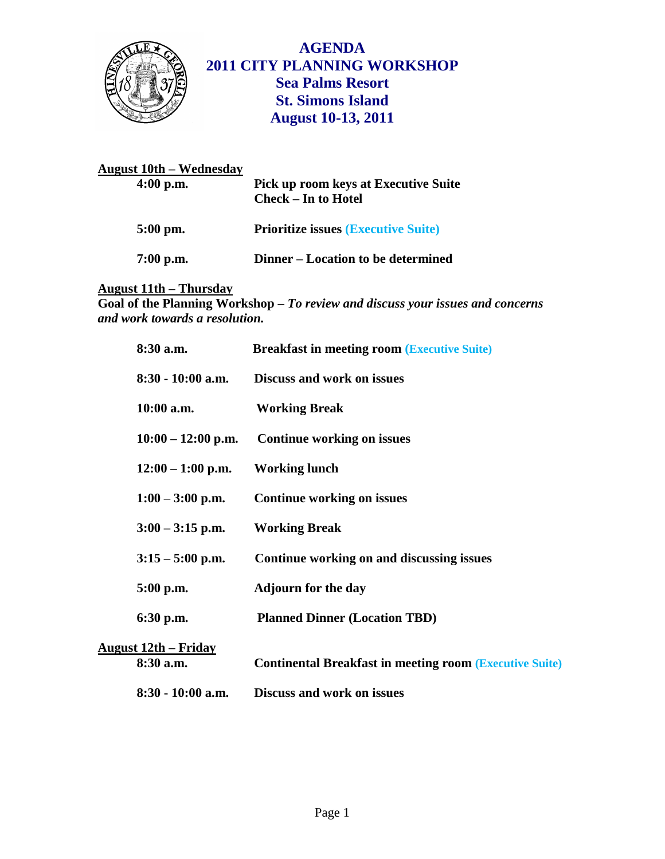

**AGENDA 2011 CITY PLANNING WORKSHOP Sea Palms Resort St. Simons Island August 10-13, 2011**

| <b>August 10th – Wednesday</b> | Pick up room keys at Executive Suite       |
|--------------------------------|--------------------------------------------|
| $4:00$ p.m.                    | <b>Check – In to Hotel</b>                 |
| $5:00$ pm.                     | <b>Prioritize issues (Executive Suite)</b> |

**7:00 p.m. Dinner – Location to be determined**

**August 11th – Thursday**

**Goal of the Planning Workshop –** *To review and discuss your issues and concerns and work towards a resolution.*

| 8:30 a.m.                                 | <b>Breakfast in meeting room (Executive Suite)</b>             |
|-------------------------------------------|----------------------------------------------------------------|
| $8:30 - 10:00$ a.m.                       | <b>Discuss and work on issues</b>                              |
| $10:00$ a.m.                              | <b>Working Break</b>                                           |
| $10:00 - 12:00$ p.m.                      | <b>Continue working on issues</b>                              |
| $12:00 - 1:00$ p.m.                       | <b>Working lunch</b>                                           |
| $1:00 - 3:00$ p.m.                        | <b>Continue working on issues</b>                              |
| $3:00 - 3:15$ p.m.                        | <b>Working Break</b>                                           |
| $3:15 - 5:00$ p.m.                        | Continue working on and discussing issues                      |
| $5:00$ p.m.                               | <b>Adjourn for the day</b>                                     |
| $6:30$ p.m.                               | <b>Planned Dinner (Location TBD)</b>                           |
| <u> August 12th – Friday</u><br>8:30 a.m. | <b>Continental Breakfast in meeting room (Executive Suite)</b> |
| $8:30 - 10:00$ a.m.                       | <b>Discuss and work on issues</b>                              |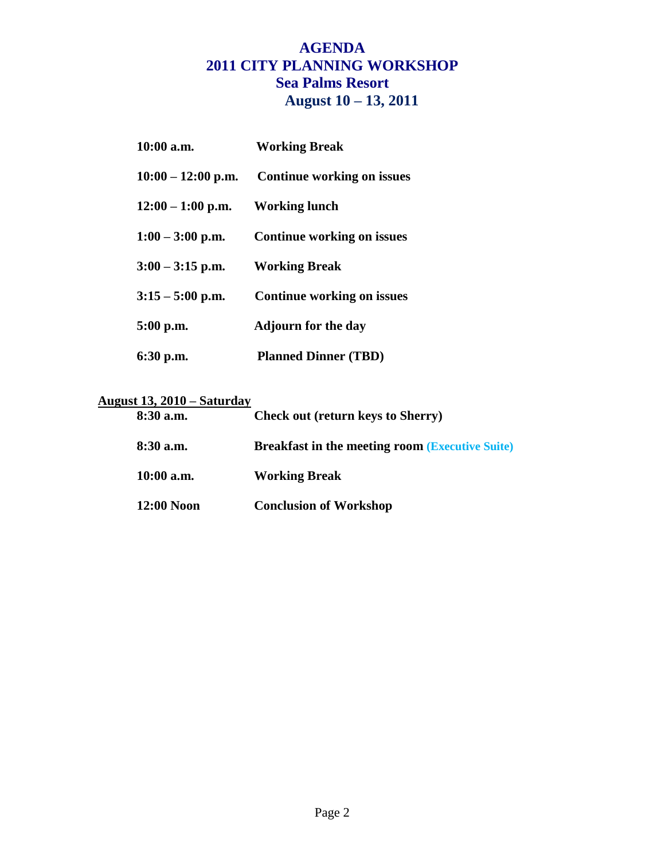## **AGENDA 2011 CITY PLANNING WORKSHOP Sea Palms Resort August 10 – 13, 2011**

| $10:00$ a.m.         | <b>Working Break</b>              |
|----------------------|-----------------------------------|
| $10:00 - 12:00$ p.m. | <b>Continue working on issues</b> |
| $12:00 - 1:00$ p.m.  | <b>Working lunch</b>              |
| $1:00-3:00$ p.m.     | <b>Continue working on issues</b> |
| $3:00 - 3:15$ p.m.   | <b>Working Break</b>              |
| $3:15 - 5:00$ p.m.   | <b>Continue working on issues</b> |
| $5:00$ p.m.          | <b>Adjourn for the day</b>        |
| $6:30$ p.m.          | <b>Planned Dinner (TBD)</b>       |

## **August 13, 2010 – Saturday**

| 8:30 a.m.         | <b>Check out (return keys to Sherry)</b>               |  |
|-------------------|--------------------------------------------------------|--|
| $8:30$ a.m.       | <b>Breakfast in the meeting room (Executive Suite)</b> |  |
| $10:00$ a.m.      | <b>Working Break</b>                                   |  |
| <b>12:00 Noon</b> | <b>Conclusion of Workshop</b>                          |  |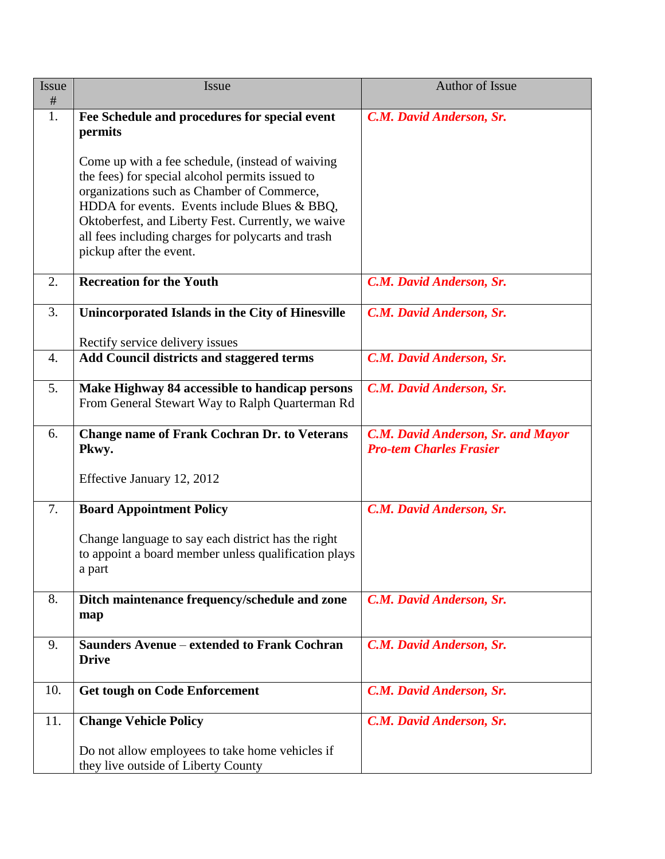| <b>Issue</b> | Issue                                                                                                                               | <b>Author of Issue</b>                                                      |
|--------------|-------------------------------------------------------------------------------------------------------------------------------------|-----------------------------------------------------------------------------|
| #            |                                                                                                                                     |                                                                             |
| 1.           | Fee Schedule and procedures for special event<br>permits                                                                            | C.M. David Anderson, Sr.                                                    |
|              | Come up with a fee schedule, (instead of waiving<br>the fees) for special alcohol permits issued to                                 |                                                                             |
|              | organizations such as Chamber of Commerce,                                                                                          |                                                                             |
|              | HDDA for events. Events include Blues & BBQ,                                                                                        |                                                                             |
|              | Oktoberfest, and Liberty Fest. Currently, we waive<br>all fees including charges for polycarts and trash<br>pickup after the event. |                                                                             |
| 2.           | <b>Recreation for the Youth</b>                                                                                                     | C.M. David Anderson, Sr.                                                    |
| 3.           | Unincorporated Islands in the City of Hinesville                                                                                    | C.M. David Anderson, Sr.                                                    |
|              | Rectify service delivery issues                                                                                                     |                                                                             |
| 4.           | <b>Add Council districts and staggered terms</b>                                                                                    | C.M. David Anderson, Sr.                                                    |
| 5.           | Make Highway 84 accessible to handicap persons                                                                                      | C.M. David Anderson, Sr.                                                    |
|              | From General Stewart Way to Ralph Quarterman Rd                                                                                     |                                                                             |
| 6.           | <b>Change name of Frank Cochran Dr. to Veterans</b><br>Pkwy.                                                                        | <b>C.M. David Anderson, Sr. and Mayor</b><br><b>Pro-tem Charles Frasier</b> |
|              | Effective January 12, 2012                                                                                                          |                                                                             |
| 7.           | <b>Board Appointment Policy</b>                                                                                                     | C.M. David Anderson, Sr.                                                    |
|              | Change language to say each district has the right<br>to appoint a board member unless qualification plays<br>a part                |                                                                             |
| 8.           | Ditch maintenance frequency/schedule and zone<br>map                                                                                | C.M. David Anderson, Sr.                                                    |
| 9.           | <b>Saunders Avenue – extended to Frank Cochran</b><br><b>Drive</b>                                                                  | C.M. David Anderson, Sr.                                                    |
| 10.          | <b>Get tough on Code Enforcement</b>                                                                                                | C.M. David Anderson, Sr.                                                    |
| 11.          | <b>Change Vehicle Policy</b>                                                                                                        | C.M. David Anderson, Sr.                                                    |
|              | Do not allow employees to take home vehicles if                                                                                     |                                                                             |
|              | they live outside of Liberty County                                                                                                 |                                                                             |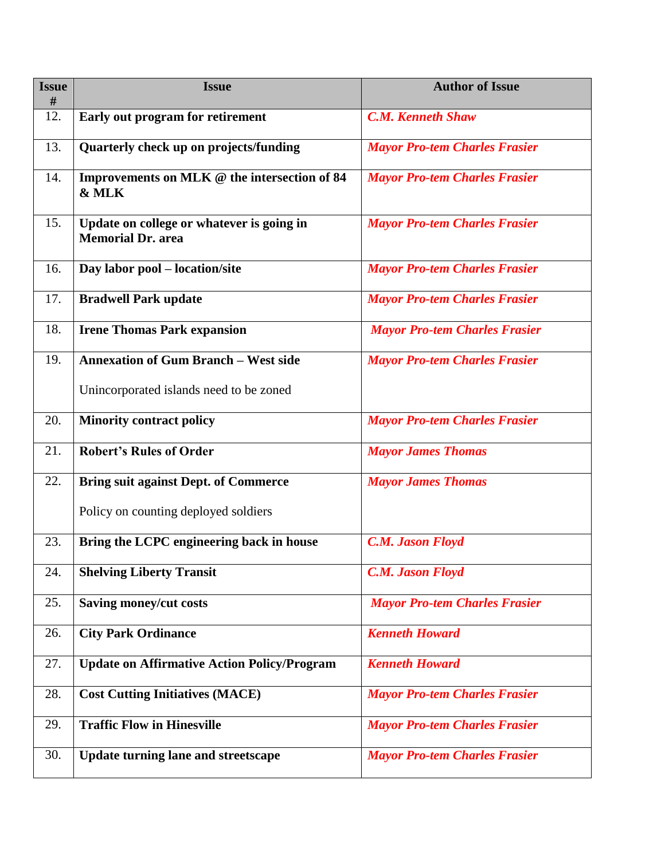| <b>Issue</b><br># | <b>Issue</b>                                                          | <b>Author of Issue</b>               |
|-------------------|-----------------------------------------------------------------------|--------------------------------------|
| 12.               | Early out program for retirement                                      | <b>C.M. Kenneth Shaw</b>             |
| 13.               | Quarterly check up on projects/funding                                | <b>Mayor Pro-tem Charles Frasier</b> |
| 14.               | Improvements on MLK @ the intersection of 84<br>& MLK                 | <b>Mayor Pro-tem Charles Frasier</b> |
| 15.               | Update on college or whatever is going in<br><b>Memorial Dr. area</b> | <b>Mayor Pro-tem Charles Frasier</b> |
| 16.               | Day labor pool - location/site                                        | <b>Mayor Pro-tem Charles Frasier</b> |
| 17.               | <b>Bradwell Park update</b>                                           | <b>Mayor Pro-tem Charles Frasier</b> |
| 18.               | <b>Irene Thomas Park expansion</b>                                    | <b>Mayor Pro-tem Charles Frasier</b> |
| 19.               | <b>Annexation of Gum Branch - West side</b>                           | <b>Mayor Pro-tem Charles Frasier</b> |
|                   | Unincorporated islands need to be zoned                               |                                      |
| 20.               | <b>Minority contract policy</b>                                       | <b>Mayor Pro-tem Charles Frasier</b> |
| 21.               | <b>Robert's Rules of Order</b>                                        | <b>Mayor James Thomas</b>            |
| 22.               | <b>Bring suit against Dept. of Commerce</b>                           | <b>Mayor James Thomas</b>            |
|                   | Policy on counting deployed soldiers                                  |                                      |
| 23.               | Bring the LCPC engineering back in house                              | <b>C.M. Jason Floyd</b>              |
| 24.               | <b>Shelving Liberty Transit</b>                                       | <b>C.M. Jason Floyd</b>              |
| 25.               | <b>Saving money/cut costs</b>                                         | <b>Mayor Pro-tem Charles Frasier</b> |
| 26.               | <b>City Park Ordinance</b>                                            | <b>Kenneth Howard</b>                |
| 27.               | <b>Update on Affirmative Action Policy/Program</b>                    | <b>Kenneth Howard</b>                |
| 28.               | <b>Cost Cutting Initiatives (MACE)</b>                                | <b>Mayor Pro-tem Charles Frasier</b> |
| 29.               | <b>Traffic Flow in Hinesville</b>                                     | <b>Mayor Pro-tem Charles Frasier</b> |
| 30.               | <b>Update turning lane and streetscape</b>                            | <b>Mayor Pro-tem Charles Frasier</b> |